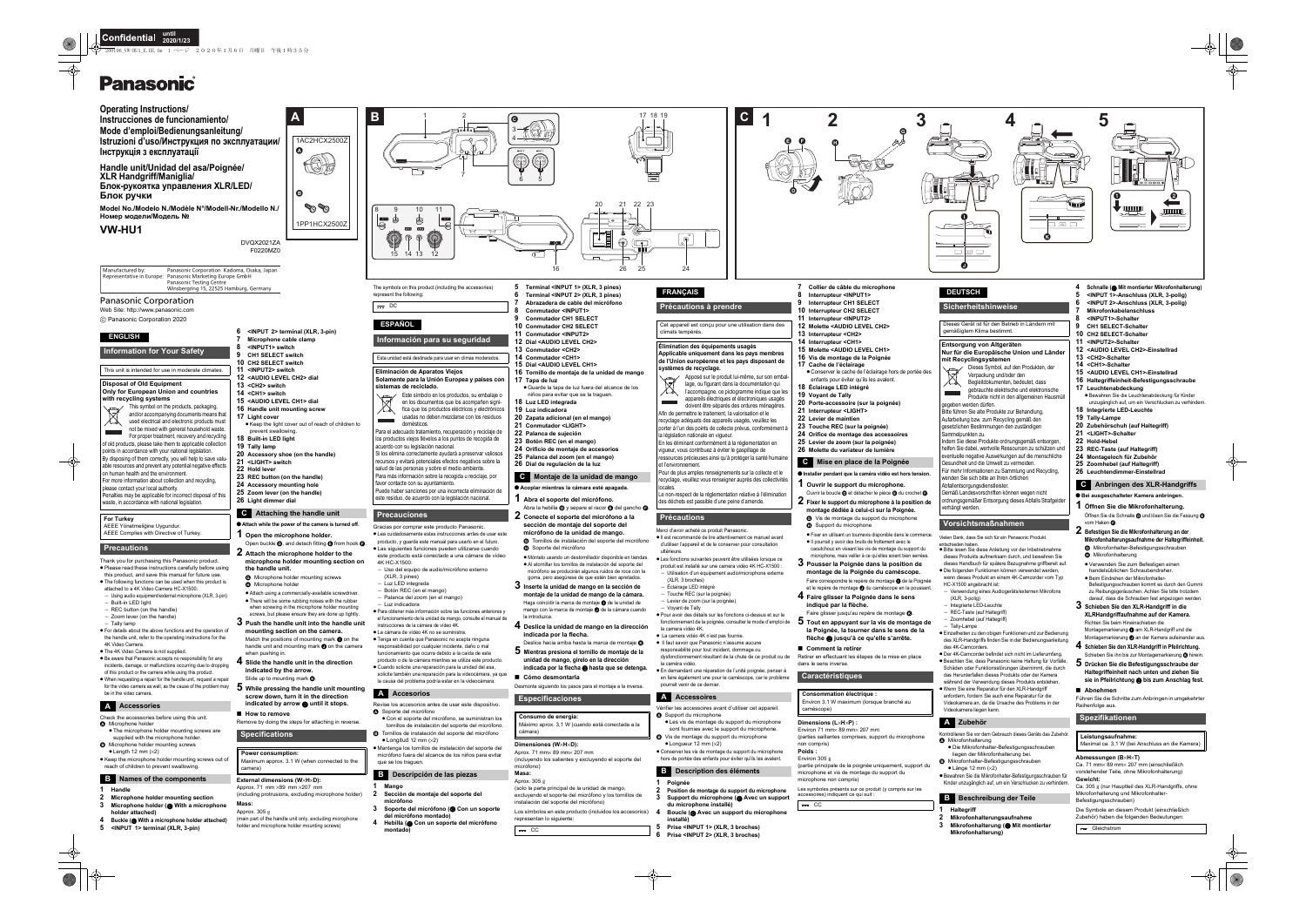Web Site: http://www.panasonic.com

Thank you for purchasing this Panasonic product. ● Please read these instructions carefully before using

C Panasonic Corporation 2020

- this product, and save this manual for future use. ● The following functions can be used when this product is
- attached to a 4K Video Camera HC-X1500:  $-$  Using audio equipment/external microphone (XLR, 3-pin)
- Built-in LED light
- $-$  REC button (on the handle)
- $-$  Zoom lever (on the handle)
- $-$  Tally lamp

● For details about the above functions and the operation of the handle unit, refer to the operating instructions for the 4K Video Camera.

● The 4K Video Camera is not supplied.

● Be aware that Panasonic accepts no responsibility for any incidents, damage, or malfunctions occurring due to dropping of this product or the camera while using this product.

- Check the accessories before using this unit. **A** Microphone holder
- The microphone holder mounting screws are supplied with the microphone holder **B** Microphone holder mounting screws
- $\bullet$  Length 12 mm ( $\times$ 2)

● Keep the microphone holder mounting screws out of reach of children to prevent swallowing.

- Attach while the power of the camera is turned off.
- **1 Open the microphone holder.** Open buckle  $\mathbf 0$ , and detach fitting  $\mathbf \Theta$  from hook  $\mathbf \Theta$ .
- **2 Attach the microphone holder to the microphone holder mounting section on**

≥ When requesting a repair for the handle unit, request a repair for the video camera as well, as the cause of the problem may be in the video camera.

#### **1Handle**

- **2 Microphone holder mounting section**
- **3Microphone holder (** C **With a microphone**
- **holder attached)**
- **4 Buckle (** C **With a microphone holder attached) 5 <INPUT 1> terminal (XLR, 3-pin)**

**6 <INPUT 2> terminal (XLR, 3-pin)**

- **7 Microphone cable clamp 8 <INPUT1> switch9 CH1 SELECT switch10 CH2 SELECT switch**
	- **11 <INPUT2> switch12 <AUDIO LEVEL CH2> dial**
	- **13 <CH2> switch**
- **14 <CH1> switch**
- **15 <AUDIO LEVEL CH1> dial**
- **16 Handle unit mounting screw**
- **17 Light cover** ● Keep the light cover out of reach of children to prevent swallowing.
- **18 Built-in LED light**
- **19 Tally lamp**
- **20 Accessory shoe (on the handle)**
- **21 <LIGHT> switch**
- **22 Hold lever**
- **23 REC button (on the handle)**
- **24 Accessory mounting hole**
- **25 Zoom lever (on the handle)**

# **26 Light dimmer dial**

● Con el soporte del micrófono, se suministran los tornillos de instalación del soporte del micrófono. B Tornillos de instalación del soporte del micrófono

- **the handle unit.**
- G Microphone holder mounting screws  $\overline{\mathbf{B}}$  Microphone holder
- <sup>≥</sup>Attach using a commercially-available screwdriver. ● There will be some rubbing noises with the rubber
- when screwing in the microphone holder mounting screws, but please ensure they are done up tightly.
- **3 Push the handle unit into the handle unit mounting section on the camera.** Match the positions of mounting mark  $\bigcirc$  on the handle unit and mounting mark  $\bigcirc$  on the camera when pushing in.
- **4 Slide the handle unit in the direction indicated by the arrow.** Slide up to mounting mark  $\Omega$ .
- ${\bf 5}$  While pressing the handle unit mountir
- **screw down, turn it in the direction indicated by arrow**  2 **until it stops.**
- ∫ **How to remove** Remove by doing the steps for attaching in reverse.

#### **External dimensions (W**×**H**×**D):**

- Approx. 71 mm ×89 mm ×207 mm (including protrusions, excluding microphone holder)
	-
- **Mass:**Approx. 305 g
- (main part of the handle unit only, excluding microphone holder and microphone holder mounting screws)

micrófono se producirán algunos ruidos de roce con la goma, pero asegúrese de que estén bien apretados. **3 Inserte la unidad de mango en la sección de montaje de la unidad de mango de la cámara.** Haga coincidir la marca de montaje  $\bigcirc$  de la unidad de mango con la marca de montaje  $\bigcirc$  de la cámara cuando

# **ENGLISH**

#### **Information for Your Safety**

This unit is intended for use in moderate climates.

#### **Disposal of Old Equipment Only for European Union and countries with recycling systems**



Deslice hacia arriba hasta la marca de montaje **® 5 Mientras presiona el tornillo de montaje de la unidad de mango, gírelo en la dirección indicada por la flecha**  2 **hasta que se detenga.**

Desmonte siguiendo los pasos para el montaje a la inversa.

used electrical and electronic products must not be mixed with general household waste.  $\sim 100$ For proper treatment, recovery and recycling of old products, please take them to applicable collection

> micrófono) **Masa:**Aprox.  $305$   $\circ$

points in accordance with your national legislation. By disposing of them correctly, you will help to save valuable resources and prevent any potential negative effect on human health and the environment.

- For more information about collection and recycling,
- please contact your local authority. Penalties may be applicable for incorrect disposal of this

waste, in accordance with national legislation

#### **For Turkey** AEEE Yönetmeliğine Uygundur.

AEEE Complies with Directive of Turkey.

### **Precautions**

# **A Accessories**

# **B Names of the components**

# **C Attaching the handle unit**

## **Specifications**

**Power consumption:**  Maximum approx. 3.1 W (when connected to the camera)

<sup>≥</sup>Les fonctions suivantes peuvent être utilisées lorsque ce produit est installé sur une camera vidéo 4K HC-X1500 :  $-$  Utilisation d'un équipement audio/microphone externe

Gracias por comprar este producto Panasonic. ≥Lea cuidadosamente estas instrucciones antes de usar este producto, y guarde este manual para usarlo en el futuro. <sup>≥</sup>Las siguientes funciones pueden utilizarse cuando este producto está conectado a una cámara de vídeo

> ● Pour avoir des détails sur les fonctions ci-dessus et sur le fonctionnement de la poignée, consulter le mode d'emploi de

4K HC-X1500:

Uso del equipo de audio/micrófono externo

(XLR, 3 pines)  $-$  Luz LED integrada Botón REC (en el mango) Palanca del zoom (en el mango)

> <sup>≥</sup>Les vis de montage du support du microphone sont fournies avec le support du microphone. Vis de montage du support du microphone

<sup>≥</sup>Para obtener más información sobre las funciones anteriores y el funcionamiento de la unidad de mango, consulte el manual de

> ● Conserver les vis de montage du support du microphone hors de portée des enfants pour éviter qu'ils les avalent.

instrucciones de la cámara de vídeo 4K. ● La cámara de vídeo 4K no se suministra. <sup>≥</sup>Tenga en cuenta que Panasonic no acepta ninguna responsabilidad por cualquier incidente, daño o mal funcionamiento que ocurra debido a la caída de este producto o de la cámara mientras se utiliza este producto. ≥ Cuando solicite una reparación para la unidad del asa, solicite también una reparación para la videocámara, ya que la causa del problema podría estar en la videocámara.

Revise los accesorios antes de usar este dispositivo.

≥ Mantenga los tornillos de instalación del soporte del micrófono fuera del alcance de los niños para evitar

**1 Mango**

 $\bullet$  Longitud 12 mm ( $\times$ 2)

**2 Sección de montaje del soporte del** 

- Ouvrir la boucle  $\bullet$  et détacher le pièce  $\bullet$  du crochet  $\bullet$ **2 Fixer le support du microphone à la position de**
- **montage dédiée à celui-ci sur la Poignée.** G Vis de montage du support du microphone
- Support du microphone
- <sup>≥</sup>Fixer en utilisant un tournevis disponible dans le commerce.
- <sup>≥</sup>Il pourrait y avoir des bruits de frottement avec le caoutchouc en vissant les vis de montage du support du microphone, mais veiller à ce qu'elles soient bien serrées.
- **3 Pousser la Poignée dans la position de montage de la Poignée du caméscope.** Faire correspondre le repère de montage  $\bigcirc$  de la Poignée et le repère de montage  $\bigcirc$  du caméscope en la poussant
- **4 Faire glisser la Poignée dans le sens indiqué par la flèche.**
- Faire glisser jusqu'au repère de montage **® 5 Tout en appuyant sur la vis de montage de**
- **la Poignée, la tourner dans le sens de la flèche**  2 **jusqu'à ce qu'elle s'arrête.**

**micrófono**

**3 Soporte del micrófono (** C **Con un soporte** 

**del micrófono montado)**

**4 Hebilla (** C **Con un soporte del micrófono** 

**montado)**

# **Panasonic**



**8**

**9**

- **Conmutador <INPUT1>**
- **Conmutador CH1 SELECT**
- **10 Conmutador CH2 SELECT**
- **11 Conmutador <INPUT2>**
- **12 Dial <AUDIO LEVEL CH2>**
- **13 Conmutador <CH2>14 Conmutador <CH1>**
- **15 Dial <AUDIO LEVEL CH1>**
- **16 Tornillo de montaje de la unidad de mango**
- **17 Tapa de luz** <sup>≥</sup>Guarde la tapa de luz fuera del alcance de los niños para evitar que se la traguen.
- 
- **18 Luz LED integrada 19 Luz indicadora**

En les éliminant conformément à la réglementation en vigueur, vous contribuez à éviter le gaspillage de ressources précieuses ainsi qu'à protéger la santé humain

- 
- **20 Zapata adicional (en el mango) 21 Conmutador <LIGHT>**
- **22 Palanca de sujeción**
- **23 Botón REC (en el mango)**
- **24 Orificio de montaje de accesorios**
- **25 Palanca del zoom (en el mango)**
- **26 Dial de regulación de la luz**

Le non-respect de la réglementation relative à l'éliminatio des déchets est passible d'une peine d'amende.

- ¥ **Acoplar mientras la cámara esté apagada.**
- **1 Abra el soporte del micrófono.** Abra la hebilla  $\bf{0}$  y separe el racor  $\bf{0}$  del gancho  $\bf{0}$
- **2 Conecte el soporte del micrófono a la sección de montaje del soporte del micrófono de la unidad de mango.**
- G Tornillos de instalación del soporte del micrófono **G** Soporte del micrófono ≥ Móntelo usando un destornillador disponible en tiendas. <sup>≥</sup>Al atornillar los tornillos de instalación del soporte del

Kontrollieren Sie vor dem Gebrauch dieses Geräts das Zubehör. **A** Mikrofonhalterung

la introduzca.

**4 Deslice la unidad de mango en la dirección** 

**indicada por la flecha.**

∫ **Cómo desmontarla**

**Dimensiones (W**×**H**×**D):** Aprox. 71 mm× 89 mm× 207 mm

(incluyendo los salientes y excluyendo el soporte del

#### ● Bei ausgeschalteter Kamera anbringen **1 Öffnen Sie die Mikrofonhalterung.**

(solo la parte principal de la unidad de mango, excluyendo el soporte del micrófono y los tornillos de <sup>≥</sup>Verwenden Sie zum Befestigen einen handelsüblichen Schraubendreher.● Beim Eindrehen der Mikrofonhalter-

instalación del soporte del micrófono)

representan lo siguiente:

**ESPAÑOL**

**Información para su seguridad**

Esta unidad está destinada para usar en climas moderados.

**Eliminación de Aparatos Viejos**

**Solamente para la Unión Europea y países con** 

**sistemas de reciclado.**

**Contract Contract** 

Este símbolo en los productos, su embalaje o en los documentos que los acompañen significa que los productos eléctricos y electrónicos usadas no deben mezclarse con los residuos

domésticos.

Para el adecuado tratamiento, recuperación y reciclaje de los productos viejos llévelos a los puntos de recogida de

acuerdo con su legislación nacional.

Si los elimina correctamente ayudará a preservar valiosos recursos y evitará potenciales efectos negativos sobre la salud de las personas y sobre el medio ambiente. Para más información sobre la recogida u reciclaje, por

favor contacte con su ayuntamiento.

Puede haber sanciones por una incorrecta eliminación de este residuo, de acuerdo con la legislación nacional.

**Precauciones**

 $-$  Luz indicadora

**A** Soporte del micrófono

**A Accesorios**

que se los traguen.

**B Descripción de las piezas**

#### **C Montaje de la unidad de mango**

**Especificaciones**

**Consumo de energía:**

Máximo aprox. 3,1 W (cuando está conectada a la

cámara)

CC

Merci d'avoir acheté ce produit Panasonic.

≥Il est recommandé de lire attentivement ce manuel avant d'utiliser l'appareil et de le conserver pour consultation

Los símbolos en este producto (incluidos los accesorios) **4**

ultérieure.

(XLR, 3 broches) Éclairage LED intégré - Touche REC (sur la poignée) Levier de zoom (sur la poignée)

Voyant de Tally

la camera vidéo 4K.

<sup>≥</sup> La camera vidéo 4K n'est pas fournie. <sup>≥</sup> Il faut savoir que Panasonic n'assume aucune responsabilité pour tout incident, dommage ou dysfonctionnement résultant de la chute de ce produit ou de

la caméra vidéo.

 <sup>≥</sup>En demandant une réparation de l'unité poignée, penser à en faire également une pour le caméscope, car le problème

pourrait venir de ce dernier.

Vérifier les accessoires avant d'utiliser cet appareil.

**1**

**Poignée**

**2**

**Position de montage du support du microphone**

**3**

**Support du microphone (** C **Avec un support** 

**du microphone installé)**

**Boucle (** C **Avec un support du microphone** 

**installé)**

**5**

**Prise <INPUT 1> (XLR, 3 broches)**

**6**

**Prise <INPUT 2> (XLR, 3 broches)**

- 
- 
- 
- **10 Interrupteur CH2 SELECT 11Interrupteur <INPUT2>**
- **12 Molette <AUDIO LEVEL CH2>**
- **13 Interrupteur <CH2>**
- **14 Interrupteur <CH1>**
- **15 Molette <AUDIO LEVEL CH1>**
- **16 Vis de montage de la Poignée**
- **17 Cache de l'éclairage** <sup>≥</sup>Conserver le cache de l'éclairage hors de portée des enfants pour éviter qu'ils les avalent.
- **18 Éclairage LED intégré**
- **19 Voyant de Tally**
- **20 Porte-accessoire (sur la poignée)**
- **21 Interrupteur <LIGHT>**
- **22 Levier de maintien**
- **23 Touche REC (sur la poignée)**
- **24 Orifice de montage des accessoires**
- **25 Levier de zoom (sur la poignée) 26 Molette du variateur de lumière**

#### **1 Ouvrir le support du microphone.**

#### ∫ **Comment la retirer**

Retirer en effectuant les étapes de la mise en place dans le sens inverse.

#### **Dimensions (L**×**H**×**P) :**

Environ 71 mm× 89 mm× 207 mm

(parties saillantes comprises, support du microphone non compris) **Poids :**

#### Environ  $305 g$

(partie principale de la poignée uniquement, support du microphone et vis de montage du support du microphone non compris)

Les symboles présents sur ce produit (y compris sur les accessoires) indiquent ce qui suit :  $=$  CC

Cet appareil est conçu pour une utilisation dans des

climats tempérés.

**Élimination des équipements usagés**

**Applicable uniquement dans les pays membres de l'Union européenne et les pays disposant de** 

**systèmes de recyclage.** 

Apposé sur le produit lui-même, sur son emballage, ou figurant dans la documentation qui l'accompagne, ce pictogramme indique que les appareils électriques et électroniques usagés doivent être séparés des ordures ménagères.

Afin de permettre le traitement, la valorisation et le recyclage adéquats des appareils usagés, veuillez les porter à l'un des points de collecte prévus, conformément à

la législation nationale en vigueur.

et l'environnement.

 Pour de plus amples renseignements sur la collecte et le recyclage, veuillez vous renseigner auprès des collectivités

locales.

**Contract Contract** 

**Précautions**

**A Accessoires**

**A** Support du microphone

 $\bullet$  Longueur 12 mm ( $\times$ 2)

**B Description des éléments**

### **C Mise en place de la Poignée**

#### ● Installer pendant que la caméra vidéo est hors tension.

#### **Caractéristiques**

**Consommation électrique :**  Environ 3,1 W maximum (lorsque branché au caméscope)

Vielen Dank, dass Sie sich für ein Panasonic Produkt

- entschieden haben.<sup>≥</sup>Bitte lesen Sie diese Anleitung vor der Inbetriebnahme
- dieses Produkts aufmerksam durch, und bewahren Sie dieses Handbuch für spätere Bezugnahme griffbereit auf.
- ≥ Die folgenden Funktionen können verwendet werden, wenn dieses Produkt an einem 4K-Camcorder vom Typ
- HC-X1500 angebracht ist: Verwendung eines Audiogeräts/externen Mikrofons
- (XLR, 3-polig)
- Integrierte LED-Leuchte
- REC-Taste (auf Haltegriff)
- Zoomhebel (auf Haltegriff) Tally-Lampe
- <sup>≥</sup>Einzelheiten zu den obigen Funktionen und zur Bedienung des XLR-Handgriffs finden Sie in der Bedienungsanleitung
- des 4K-Camcorders.≥ Der 4K-Camcorder befindet sich nicht im Lieferumfang. <sup>≥</sup>Beachten Sie, dass Panasonic keine Haftung für Vorfälle, Schäden oder Funktionsstörungen übernimmt, die durch
- das Herunterfallen dieses Produkts oder der Kamera während der Verwendung dieses Produkts entstehen.
- Wenn Sie eine Reparatur für den XLR-Handgriff anfordern, fordern Sie auch eine Reparatur für die Videokamera an, da die Ursache des Problems in der Videokamera liegen kann.

- ≥ Die Mikrofonhalter-Befestigungsschrauben liegen der Mikrofonhalterung bei.
- $\bullet$  Mikrofonhalter-Befestigungsschrauben  $\bullet$  Länge 12 mm ( $\times$ 2)
- <sup>≥</sup>Bewahren Sie die Mikrofonhalter-Befestigungsschrauben für Kinder unzugänglich auf, um ein Verschlucken zu verhindern.

- **Haltegriff**
- **12 Mikrofonhalterungsaufnahme**
- **3 Mikrofonhalterung (** C **Mit montierter Mikrofonhalterung)**

**9**

- 
- 
- **7Mikrofonkabelanschluss**
- **8<INPUT1>-Schalter**
- **CH1 SELECT-Schalter**
- **10 CH2 SELECT-Schalter**
- **11<INPUT2>-Schalter**
- **12 <AUDIO LEVEL CH2>-Einstellrad**
- **13 <CH2>-Schalter**
- **14 <CH1>-Schalter**
- **15 <AUDIO LEVEL CH1>-Einstellrad**
- **16 Haltegriffeinheit-Befestigungsschraube**
- **17 Leuchtenabdeckung** ● Bewahren Sie die Leuchtenabdeckung für Kinder unzugänglich auf, um ein Verschlucken zu verhindern.
- **18 Integrierte LED-Leuchte**
- **19 Tally-Lampe**
- **20 Zubehörschuh (auf Haltegriff)**
- **21 <LIGHT>-Schalter**

vom Haken @

- **22 Hold-Hebel**
- **23 REC-Taste (auf Haltegriff)**
- **24 Montageloch für Zubehör**
- **25 Zoomhebel (auf Haltegriff) 26 Leuchtendimmer-Einstellrad**

**2 Befestigen Sie die Mikrofonhalterung an der Mikrofonhalterungsaufnahme der Haltegriffeinheit.** G Mikrofonhalter-Befestigungsschrauben

> Befestigungsschrauben kommt es durch den Gummi zu Reibungsgeräuschen. Achten Sie bitte trotzdem darauf, dass die Schrauben fest angezogen werden.

**3 Schieben Sie den XLR-Handgriff in die XLRHandgriffaufnahme auf der Kamera.** Richten Sie beim Hineinschieben die Montagemarkierung **O** am XLR-Handgriff und die Montagemarkierung @ an der Kamera aufeinander aus **4 Schieben Sie den XLR-Handgriff in Pfeilrichtung.** Schieben Sie ihn bis zur Montagemarkierung @ hinein. **5 Drücken Sie die Befestigungsschraube der Haltegriffeinheit nach unten und ziehen Sie sie in Pfeilrichtung**  2 **bis zum Anschlag fest.**

Führen Sie die Schritte zum Anbringen in umgekehrte

∫ **Abnehmen**

Reihenfolge aus.

**Abmessungen (B**×**H**×**T)**

Ca. 71 mm× 89 mm× 207 mm (einschließlich vorstehender Teile, ohne Mikrofonhalterung)

**Gewicht:**

Mikrofonhalterung und Mikrofonhalter-

Ca. 305 g (nur Hauptteil des XLR-Handgriffs, ohne

Befestigungsschrauben)

Die Symbole an diesem Produkt (einschließlich Zubehör) haben die folgenden Bedeutungen:

**G** Mikrofonhalterung

#### **Sicherheitshinweise**

Dieses Gerät ist für den Betrieb in Ländern mit gemäßigtem Klima bestimmt.

#### **Entsorgung von Altgeräten Nur für die Europäische Union und Länder mit Recyclingsystemen**



Dieses Symbol, auf den Produkten, der Verpackung und/oder den Begleitdokumenten, bedeutet, dass

gebrauchte elektrische und elektronische **Contract** Produkte nicht in den allgemeinen Hausmüll gegeben werden dürfen.

Bitte führen Sie alte Produkte zur Behandlung, Aufarbeitung bzw. zum Recycling gemäß den gesetzlichen Bestimmungen den zuständigen Sammelpunkten zu.

Indem Sie diese Produkte ordnungsgemäß entsorgen, helfen Sie dabei, wertvolle Ressourcen zu schützen und eventuelle negative Auswirkungen auf die menschliche Gesundheit und die Umwelt zu vermeiden.

Für mehr Informationen zu Sammlung und Recycling, wenden Sie sich bitte an Ihren örtlichen

Abfallentsorgungsdienstleister.

Gemäß Landesvorschriften können wegen nicht ordnungsgemäßer Entsorgung dieses Abfalls Strafgelder verhängt werden.

#### **Vorsichtsmaßnahmen**

#### **A Zubehör**

#### **B Beschreibung der Teile**

#### **C Anbringen des XLR-Handgriffs**

Öffnen Sie die Schnalle @ und lösen Sie die Fassung @

**Spezifikationen**

**Leistungsaufnahme:**

Maximal ca. 3,1 W (bei Anschluss an die Kamera)

Gleichstrom